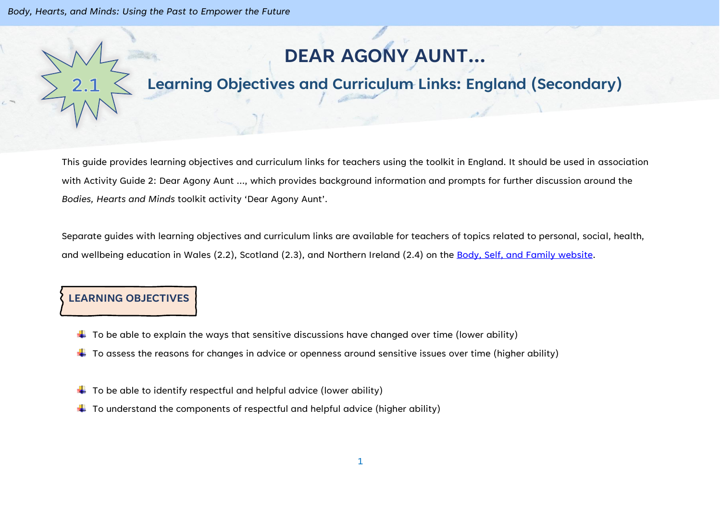*Body, Hearts, and Minds: Using the Past to Empower the Future*

# **DEAR AGONY AUNT…**

## **Learning Objectives and Curriculum Links: England (Secondary)**

This guide provides learning objectives and curriculum links for teachers using the toolkit in England. It should be used in association with Activity Guide 2: Dear Agony Aunt …, which provides background information and prompts for further discussion around the *Bodies, Hearts and Minds* toolkit activity 'Dear Agony Aunt'.

Separate guides with learning objectives and curriculum links are available for teachers of topics related to personal, social, health, and wellbeing education in Wales (2.2), Scotland (2.3), and Northern Ireland (2.4) on the [Body, Self, and Family website.](https://bodyselffamily.org/)

#### **LEARNING OBJECTIVES**

- $\downarrow$  To be able to explain the ways that sensitive discussions have changed over time (lower ability)
- $\ddotplus$  To assess the reasons for changes in advice or openness around sensitive issues over time (higher ability)
- $\downarrow$  To be able to identify respectful and helpful advice (lower ability)
- $\downarrow$  To understand the components of respectful and helpful advice (higher ability)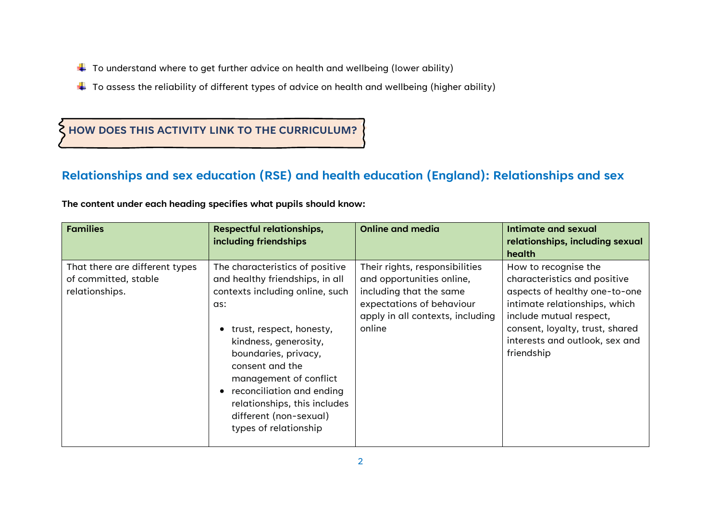- $\downarrow$  To understand where to get further advice on health and wellbeing (lower ability)
- $\ddotplus$  To assess the reliability of different types of advice on health and wellbeing (higher ability)

#### **HOW DOES THIS ACTIVITY LINK TO THE CURRICULUM?**

#### **Relationships and sex education (RSE) and health education (England): Relationships and sex**

| The content under each heading specifies what pupils should know: |  |  |
|-------------------------------------------------------------------|--|--|
|-------------------------------------------------------------------|--|--|

| <b>Families</b>                                                          | <b>Respectful relationships,</b><br>including friendships                                                                                                                                                                                                                                                                                                                        | <b>Online and media</b>                                                                                                                                           | Intimate and sexual<br>relationships, including sexual<br><b>health</b>                                                                                                                                                              |
|--------------------------------------------------------------------------|----------------------------------------------------------------------------------------------------------------------------------------------------------------------------------------------------------------------------------------------------------------------------------------------------------------------------------------------------------------------------------|-------------------------------------------------------------------------------------------------------------------------------------------------------------------|--------------------------------------------------------------------------------------------------------------------------------------------------------------------------------------------------------------------------------------|
| That there are different types<br>of committed, stable<br>relationships. | The characteristics of positive<br>and healthy friendships, in all<br>contexts including online, such<br>as:<br>trust, respect, honesty,<br>$\bullet$<br>kindness, generosity,<br>boundaries, privacy,<br>consent and the<br>management of conflict<br>reconciliation and ending<br>$\bullet$<br>relationships, this includes<br>different (non-sexual)<br>types of relationship | Their rights, responsibilities<br>and opportunities online,<br>including that the same<br>expectations of behaviour<br>apply in all contexts, including<br>online | How to recognise the<br>characteristics and positive<br>aspects of healthy one-to-one<br>intimate relationships, which<br>include mutual respect,<br>consent, loyalty, trust, shared<br>interests and outlook, sex and<br>friendship |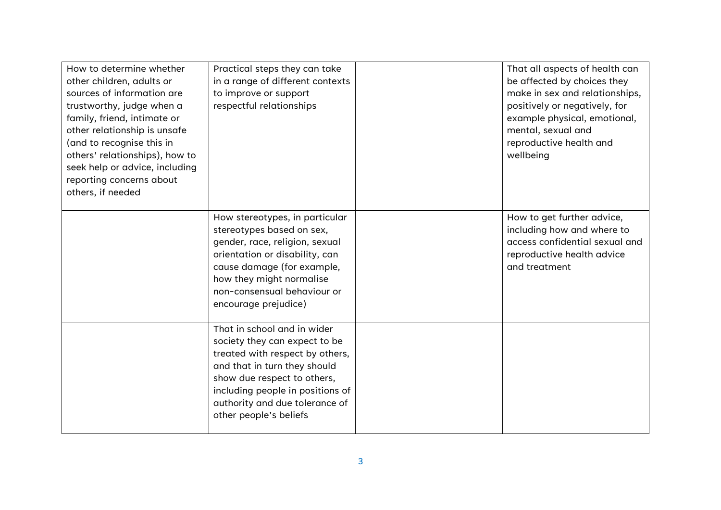| How to determine whether<br>other children, adults or<br>sources of information are<br>trustworthy, judge when a<br>family, friend, intimate or<br>other relationship is unsafe<br>(and to recognise this in<br>others' relationships), how to<br>seek help or advice, including<br>reporting concerns about<br>others, if needed | Practical steps they can take<br>in a range of different contexts<br>to improve or support<br>respectful relationships                                                                                                                                         | That all aspects of health can<br>be affected by choices they<br>make in sex and relationships,<br>positively or negatively, for<br>example physical, emotional,<br>mental, sexual and<br>reproductive health and<br>wellbeing |
|-----------------------------------------------------------------------------------------------------------------------------------------------------------------------------------------------------------------------------------------------------------------------------------------------------------------------------------|----------------------------------------------------------------------------------------------------------------------------------------------------------------------------------------------------------------------------------------------------------------|--------------------------------------------------------------------------------------------------------------------------------------------------------------------------------------------------------------------------------|
|                                                                                                                                                                                                                                                                                                                                   | How stereotypes, in particular<br>stereotypes based on sex,<br>gender, race, religion, sexual<br>orientation or disability, can<br>cause damage (for example,<br>how they might normalise<br>non-consensual behaviour or<br>encourage prejudice)               | How to get further advice,<br>including how and where to<br>access confidential sexual and<br>reproductive health advice<br>and treatment                                                                                      |
|                                                                                                                                                                                                                                                                                                                                   | That in school and in wider<br>society they can expect to be<br>treated with respect by others,<br>and that in turn they should<br>show due respect to others,<br>including people in positions of<br>authority and due tolerance of<br>other people's beliefs |                                                                                                                                                                                                                                |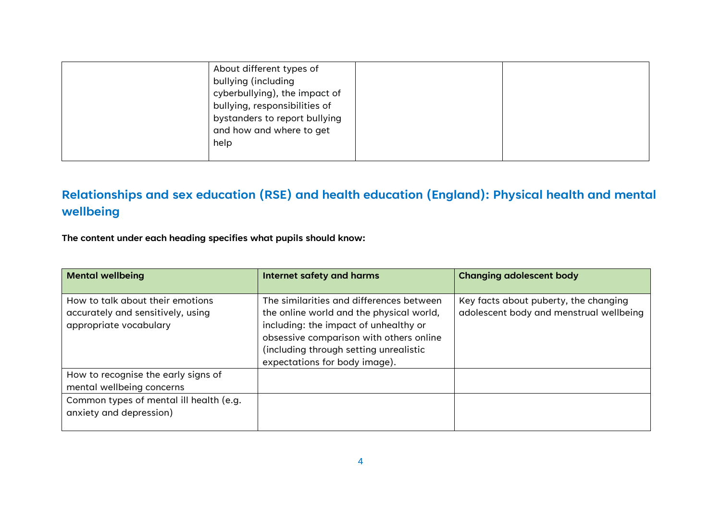| help | About different types of<br>bullying (including<br>cyberbullying), the impact of<br>bullying, responsibilities of<br>bystanders to report bullying<br>and how and where to get |  |
|------|--------------------------------------------------------------------------------------------------------------------------------------------------------------------------------|--|
|------|--------------------------------------------------------------------------------------------------------------------------------------------------------------------------------|--|

### **Relationships and sex education (RSE) and health education (England): Physical health and mental wellbeing**

**The content under each heading specifies what pupils should know:**

| <b>Mental wellbeing</b>                                                                         | Internet safety and harms                                                                                                                                                                                                                           | <b>Changing adolescent body</b>                                                  |
|-------------------------------------------------------------------------------------------------|-----------------------------------------------------------------------------------------------------------------------------------------------------------------------------------------------------------------------------------------------------|----------------------------------------------------------------------------------|
| How to talk about their emotions<br>accurately and sensitively, using<br>appropriate vocabulary | The similarities and differences between<br>the online world and the physical world,<br>including: the impact of unhealthy or<br>obsessive comparison with others online<br>(including through setting unrealistic<br>expectations for body image). | Key facts about puberty, the changing<br>adolescent body and menstrual wellbeing |
| How to recognise the early signs of<br>mental wellbeing concerns                                |                                                                                                                                                                                                                                                     |                                                                                  |
| Common types of mental ill health (e.g.<br>anxiety and depression)                              |                                                                                                                                                                                                                                                     |                                                                                  |